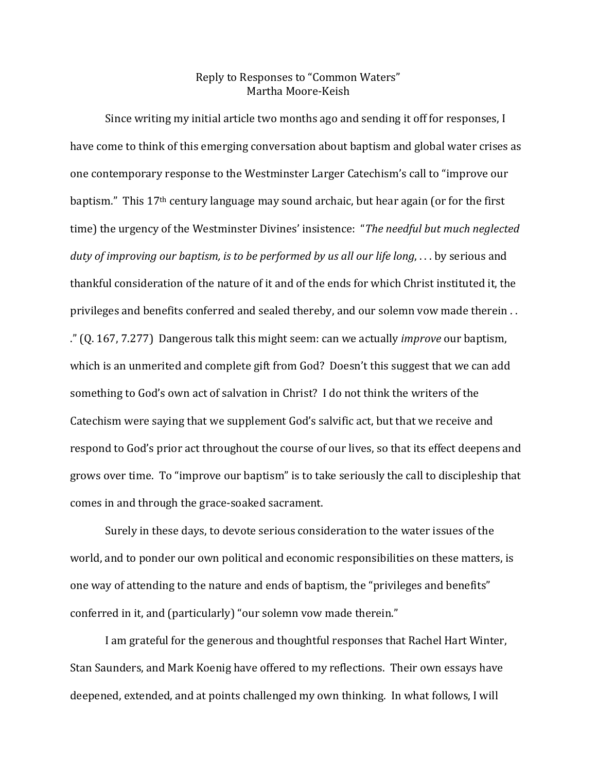## Reply to Responses to "Common Waters" Martha Moore-Keish

Since writing my initial article two months ago and sending it off for responses, I have come to think of this emerging conversation about baptism and global water crises as one contemporary response to the Westminster Larger Catechism's call to "improve our baptism." This 17<sup>th</sup> century language may sound archaic, but hear again (or for the first time) the urgency of the Westminster Divines' insistence: "*The needful but much neglected duty of improving our baptism, is to be performed by us all our life long*, . . . by serious and thankful consideration of the nature of it and of the ends for which Christ instituted it, the privileges and benefits conferred and sealed thereby, and our solemn vow made therein . . ." (Q. 167, 7.277) Dangerous talk this might seem: can we actually *improve* our baptism, which is an unmerited and complete gift from God? Doesn't this suggest that we can add something to God's own act of salvation in Christ? I do not think the writers of the Catechism were saying that we supplement God's salvific act, but that we receive and respond to God's prior act throughout the course of our lives, so that its effect deepens and grows over time. To "improve our baptism" is to take seriously the call to discipleship that comes in and through the grace-soaked sacrament.

Surely in these days, to devote serious consideration to the water issues of the world, and to ponder our own political and economic responsibilities on these matters, is one way of attending to the nature and ends of baptism, the "privileges and benefits" conferred in it, and (particularly) "our solemn vow made therein."

I am grateful for the generous and thoughtful responses that Rachel Hart Winter, Stan Saunders, and Mark Koenig have offered to my reflections. Their own essays have deepened, extended, and at points challenged my own thinking. In what follows, I will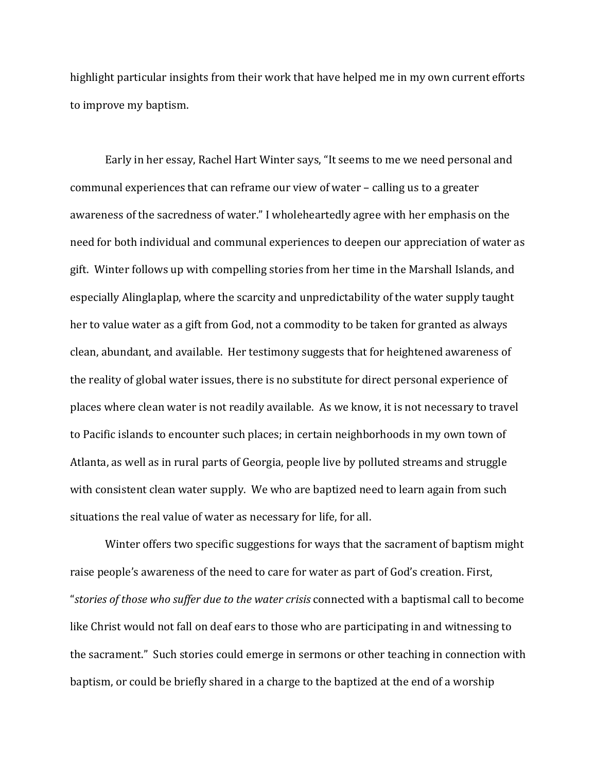highlight particular insights from their work that have helped me in my own current efforts to improve my baptism.

Early in her essay, Rachel Hart Winter says, "It seems to me we need personal and communal experiences that can reframe our view of water – calling us to a greater awareness of the sacredness of water." I wholeheartedly agree with her emphasis on the need for both individual and communal experiences to deepen our appreciation of water as gift. Winter follows up with compelling stories from her time in the Marshall Islands, and especially Alinglaplap, where the scarcity and unpredictability of the water supply taught her to value water as a gift from God, not a commodity to be taken for granted as always clean, abundant, and available. Her testimony suggests that for heightened awareness of the reality of global water issues, there is no substitute for direct personal experience of places where clean water is not readily available. As we know, it is not necessary to travel to Pacific islands to encounter such places; in certain neighborhoods in my own town of Atlanta, as well as in rural parts of Georgia, people live by polluted streams and struggle with consistent clean water supply. We who are baptized need to learn again from such situations the real value of water as necessary for life, for all.

Winter offers two specific suggestions for ways that the sacrament of baptism might raise people's awareness of the need to care for water as part of God's creation. First, "*stories of those who suffer due to the water crisis* connected with a baptismal call to become like Christ would not fall on deaf ears to those who are participating in and witnessing to the sacrament." Such stories could emerge in sermons or other teaching in connection with baptism, or could be briefly shared in a charge to the baptized at the end of a worship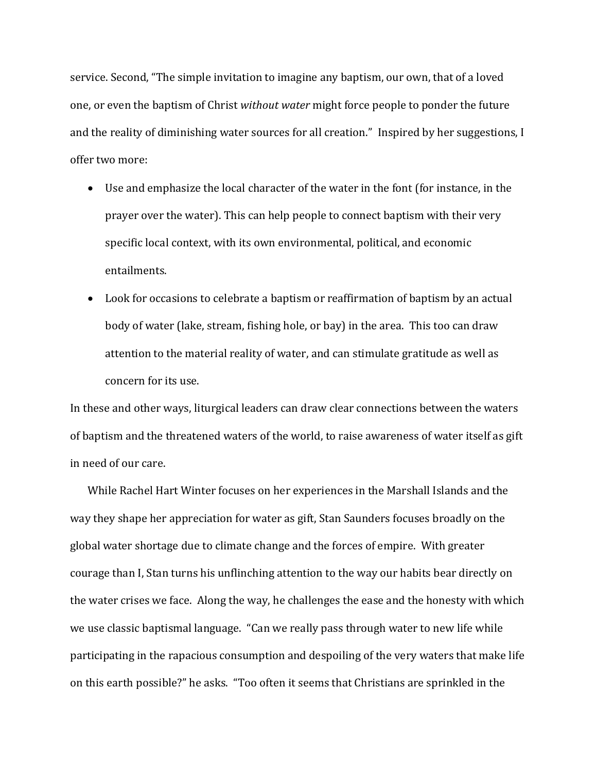service. Second, "The simple invitation to imagine any baptism, our own, that of a loved one, or even the baptism of Christ *without water* might force people to ponder the future and the reality of diminishing water sources for all creation." Inspired by her suggestions, I offer two more:

- Use and emphasize the local character of the water in the font (for instance, in the prayer over the water). This can help people to connect baptism with their very specific local context, with its own environmental, political, and economic entailments.
- Look for occasions to celebrate a baptism or reaffirmation of baptism by an actual body of water (lake, stream, fishing hole, or bay) in the area. This too can draw attention to the material reality of water, and can stimulate gratitude as well as concern for its use.

In these and other ways, liturgical leaders can draw clear connections between the waters of baptism and the threatened waters of the world, to raise awareness of water itself as gift in need of our care.

While Rachel Hart Winter focuses on her experiences in the Marshall Islands and the way they shape her appreciation for water as gift, Stan Saunders focuses broadly on the global water shortage due to climate change and the forces of empire. With greater courage than I, Stan turns his unflinching attention to the way our habits bear directly on the water crises we face. Along the way, he challenges the ease and the honesty with which we use classic baptismal language. "Can we really pass through water to new life while participating in the rapacious consumption and despoiling of the very waters that make life on this earth possible?" he asks. "Too often it seems that Christians are sprinkled in the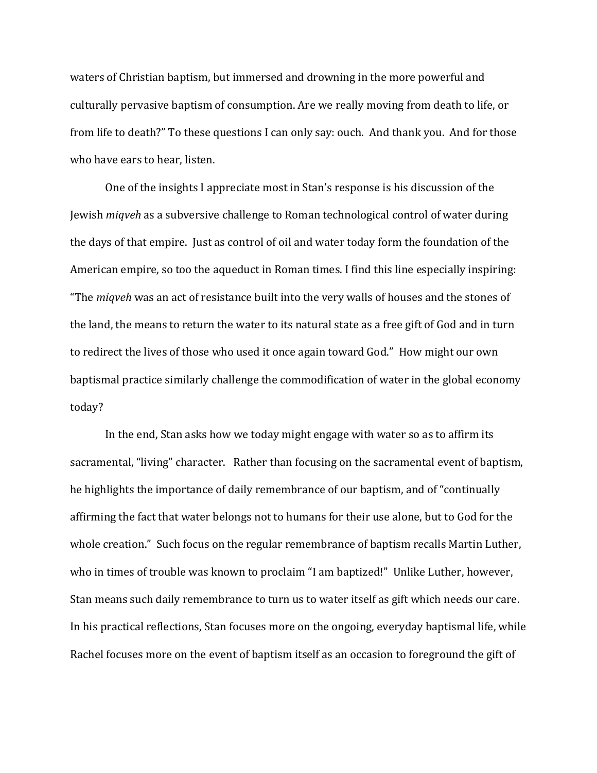waters of Christian baptism, but immersed and drowning in the more powerful and culturally pervasive baptism of consumption. Are we really moving from death to life, or from life to death?" To these questions I can only say: ouch. And thank you. And for those who have ears to hear, listen.

One of the insights I appreciate most in Stan's response is his discussion of the Jewish *miqveh* as a subversive challenge to Roman technological control of water during the days of that empire. Just as control of oil and water today form the foundation of the American empire, so too the aqueduct in Roman times. I find this line especially inspiring: "The *miqveh* was an act of resistance built into the very walls of houses and the stones of the land, the means to return the water to its natural state as a free gift of God and in turn to redirect the lives of those who used it once again toward God." How might our own baptismal practice similarly challenge the commodification of water in the global economy today?

In the end, Stan asks how we today might engage with water so as to affirm its sacramental, "living" character. Rather than focusing on the sacramental event of baptism, he highlights the importance of daily remembrance of our baptism, and of "continually affirming the fact that water belongs not to humans for their use alone, but to God for the whole creation." Such focus on the regular remembrance of baptism recalls Martin Luther, who in times of trouble was known to proclaim "I am baptized!" Unlike Luther, however, Stan means such daily remembrance to turn us to water itself as gift which needs our care. In his practical reflections, Stan focuses more on the ongoing, everyday baptismal life, while Rachel focuses more on the event of baptism itself as an occasion to foreground the gift of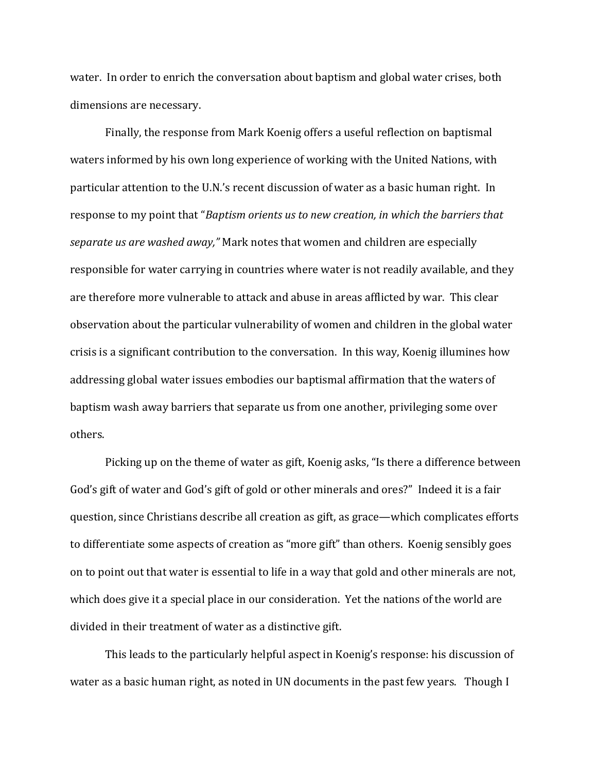water. In order to enrich the conversation about baptism and global water crises, both dimensions are necessary.

Finally, the response from Mark Koenig offers a useful reflection on baptismal waters informed by his own long experience of working with the United Nations, with particular attention to the U.N.'s recent discussion of water as a basic human right. In response to my point that "*Baptism orients us to new creation, in which the barriers that separate us are washed away,"* Mark notes that women and children are especially responsible for water carrying in countries where water is not readily available, and they are therefore more vulnerable to attack and abuse in areas afflicted by war. This clear observation about the particular vulnerability of women and children in the global water crisis is a significant contribution to the conversation. In this way, Koenig illumines how addressing global water issues embodies our baptismal affirmation that the waters of baptism wash away barriers that separate us from one another, privileging some over others.

Picking up on the theme of water as gift, Koenig asks, "Is there a difference between God's gift of water and God's gift of gold or other minerals and ores?" Indeed it is a fair question, since Christians describe all creation as gift, as grace—which complicates efforts to differentiate some aspects of creation as "more gift" than others. Koenig sensibly goes on to point out that water is essential to life in a way that gold and other minerals are not, which does give it a special place in our consideration. Yet the nations of the world are divided in their treatment of water as a distinctive gift.

This leads to the particularly helpful aspect in Koenig's response: his discussion of water as a basic human right, as noted in UN documents in the past few years. Though I